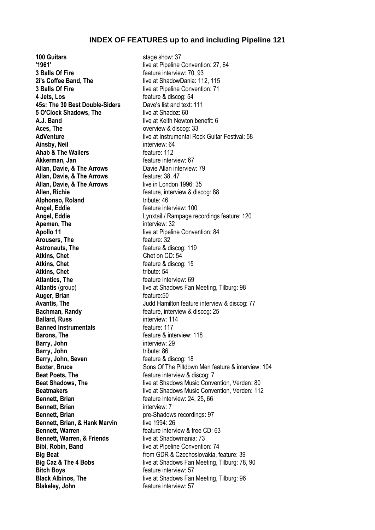## **INDEX OF FEATURES up to and including Pipeline 121**

**100 Guitars** stage show: 37 **'1961'** live at Pipeline Convention: 27, 64 **3 Balls Of Fire 1988 Feature interview: 70, 93 2i's Coffee Band, The live at ShadowDania: 112, 115 3 Balls Of Fire** live at Pipeline Convention: 71 **4 Jets, Los** feature & discog: 54 **45s: The 30 Best Double-Siders** Dave's list and text: 111 **5 O'Clock Shadows, The live at Shadoz: 60 A.J. Band A.J. Band live at Keith Newton benefit: 6 Aces. The Aces.** The **accompanying the set of the set of the set of the set of the set of the set of the set of the set of the set of the set of the set of the set of the set of the set of the set of the set of the set Ainsby, Neil** interview: 64 **Ahab & The Wailers feature: 112 Akkerman, Jan** *CONDER 67* **CONDER 67** *CONDER 67* **CONDER** *CONDER 67* **Allan, Davie, & The Arrows** Davie Allan interview: 79 **Allan, Davie, & The Arrows** feature: 38, 47 **Allan, Davie, & The Arrows** live in London 1996: 35 **Allen, Richie** *Allen, Richie Allen, Richie Allen, Richie Allen, Richie Allen, Richie* **<b>***Allen, Allen, Allen, Allen, Allen, Allen, Allen, Allen, Allen, Allen, Allen, Allen, Allen, Allen, Allen, Allen, Al* **Alphonso, Roland** tribute: 46 **Angel, Eddie feature interview: 100 Apemen, The interview: 32 Apollo 11** live at Pipeline Convention: 84<br>**Arousers. The Arousers Figure 12** feature: 32 **Arousers, The** Astronauts, The **Astronauts**, The **acture & discog:** 119 **Atkins, Chet** Chet Chet on CD: 54 **Atkins, Chet** *Chet Chet Chet Chet Chet Chet Chet Chet Chet Chet Chet Chet Chet Chet Chet Chet Chet Chet Chet Chet Chet Chet Chet* Atkins, Chet tribute: 54 **Atlantics. The** *feature interview*: 69 **Auger, Brian feature:50 Bachman, Randy Example 3 Feature, interview & discog: 25 Ballard, Russ** interview: 114 **Banned Instrumentals Example 117 Barons, The discussion of the feature & interview: 118 Barry, John** interview: 29 **Barry, John** tribute: 86 **Barry, John, Seven** feature & discog: 18 **Beat Poets, The discoming the feature interview & discog: 7 Bennett, Brian bennett, Brian feature interview: 24, 25, 66 Bennett, Brian** interview: 7 **Bennett, Brian** pre-Shadows recordings: 97 **Bennett. Brian, & Hank Marvin** live 1994: 26 **Bennett. Warren Example 20 Feature interview & free CD: 63 Bennett, Warren, & Friends** live at Shadowmania: 73 **Bibi, Robin, Band live at Pipeline Convention: 74 Bitch Boys feature interview: 57 Blakeley, John feature interview: 57** 

**AdVenture AdVenture at Instrumental Rock Guitar Festival: 58 Angel, Eddie** Lynxtail / Rampage recordings feature: 120 **Atlantis** (group) live at Shadows Fan Meeting, Tilburg: 98 **Avantis, The Matter Contract Avantis, The Avantis, The Avantis, The Avantis, The Avantis, The Avantis, The Avantis, The Avantis, The Avantis, The Avantis, The Avantis, The Avantis, The Avantis, The Avantis, The Avantis, T Baxter, Bruce** Sons Of The Piltdown Men feature & interview: 104 **Beat Shadows, The** live at Shadows Music Convention, Verden: 80 **Beatmakers live at Shadows Music Convention, Verden: 112 Big Beat** from GDR & Czechoslovakia, feature: 39 **Big Caz & The 4 Bobs** live at Shadows Fan Meeting, Tilburg: 78, 90 **Black Albinos, The live at Shadows Fan Meeting, Tilburg: 96**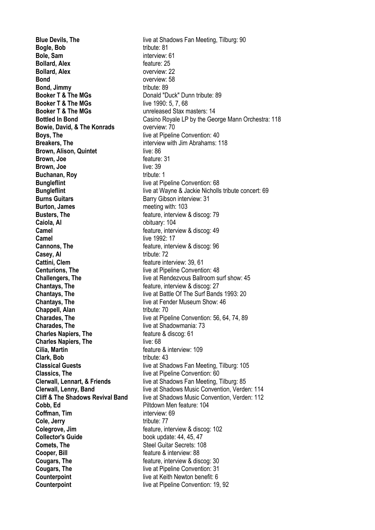**Bogle, Bob** tribute: 81 **Bole, Sam** interview: 61 **Bollard, Alex** feature: 25 **Bollard, Alex** overview: 22 **Bond** overview: 58 **Bond, Jimmy** tribute: 89 **Booker T & The MGs** Donald "Duck" Dunn tribute: 89 **Booker T & The MGs** live 1990: 5, 7, 68 **Booker T & The MGs** unreleased Stax masters: 14 **Bowie, David, & The Konrads** overview: 70 **Boys. The live at Pipeline Convention: 40 Breakers. The interview with Jim Abrahams: 118 Brown, Alison, Quintet** live: 86 **Brown, Joe feature: 31 Brown, Joe** live: 39 **Buchanan, Roy by the contract of the contract of the contract of the contract of the contract of the contract of the contract of the contract of the contract of the contract of the contract of the contract of the contract Bungleflint Bungleflint live at Pipeline Convention: 68 Burns Guitars Barry Gibson interview: 31 Burton, James** meeting with: 103 **Busters, The discourse Example 2018** feature, interview & discog: 79 **Caiola, Al Caiola, Al Caiola**, Al **Caiola Camel Camel Camel Camel Camel Camel Camel Camel Camel Camel Camel Camel Camel Camel Camel Camel Camel Camel Camel Camel Camel Camel Camel Camel Camel Camel Camel Camel Camel Camel Camel Camel Camel Camel Camel Camel Camel Camel Camel Camel Camel Camel Camel Camel Camel Camel Camel Camel Camel Camel Camel Camel Camel Camel Camel Camel Cannons, The Cannons**, The **feature**, interview & discog: 96 **Casey, Al** tribute: 72 **Cattini, Clem Cattini, Clem feature** interview: 39, 61 **Centurions, The live at Pipeline Convention: 48 Chantays, The chantage of the feature, interview & discog: 27 Chantays, The live at Fender Museum Show: 46 Chappell, Alan** tribute: 70 **Charades. The live at Shadowmania: 73 Charles Napiers, The feature & discog: 61 Charles Napiers, The live: 68 Cilia. Martin Cilia.** Martin **Feature & interview: 109 Clark, Bob** tribute: 43 **Classics, The** live at Pipeline Convention: 60 **Cobb, Ed Piltdown Men feature: 104 Coffman, Tim** interview: 69 **Cole, Jerry** tribute: 77 **Colegrove, Jim**<br> **Colector's Guide**<br> **Collector's Guide**<br> **Collector's Guide**<br> **Collector's Guide Comets. The** Steel Guitar Secrets: 108 **Cooper, Bill Cooper**, **Bill feature & interview: 88 Cougars, The cougars feature**, interview & discog: 30 **Cougars, The Cougars I** live at Pipeline Convention: 31 **Counterpoint Counterpoint live at Keith Newton benefit: 6 Counterpoint Counterpoint** live at Pipeline Convention: 19, 92

**Blue Devils, The live at Shadows Fan Meeting, Tilburg: 90 Bottled In Bond** Casino Royale LP by the George Mann Orchestra: 118 **Bungleflint intervals and Separate Separate Separate Separate Separate Separate Separate Separate Separate Separate Separate Separate Separate Separate Separate Separate Separate Separate Separate Separate Separate Sepa Challengers, The live at Rendezvous Ballroom surf show: 45 Chantays, The live at Battle Of The Surf Bands 1993: 20 Charades, The** live at Pipeline Convention: 56, 64, 74, 89 **Classical Guests live at Shadows Fan Meeting, Tilburg: 105 Clerwall, Lennart, & Friends** live at Shadows Fan Meeting, Tilburg: 85 **Clerwall, Lenny, Band** live at Shadows Music Convention, Verden: 114 **Cliff & The Shadows Revival Band** live at Shadows Music Convention, Verden: 112 book update: 44, 45, 47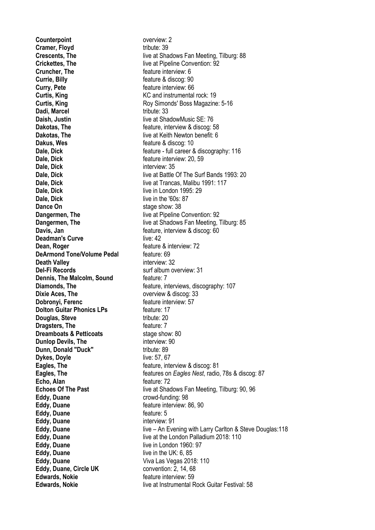**Counterpoint Counterpoint overview: 2 Cramer, Floyd** tribute: 39 **Cruncher, The discrete interview: 6** feature interview: 6 **Currie, Billy Currie, Billy feature & discog: 90 Curry, Pete Curry**, Pete **Curtis, King Curtis, King Curtis, King KC and instrumental rock: 19 Dadi, Marcel** tribute: 33 **Daish, Justin live at ShadowMusic SE: 76 Dakus, Wes feature & discog: 10 Dale, Dick Contract Contract Contract Contract Contract Contract Contract Contract Contract Contract Contract Contract Contract Contract Contract Contract Contract Contract Contract Contract Contract Contract Contract C Dale, Dick** interview: 35 **Dale, Dick** live in London 1995: 29 **Dale, Dick** live in the '60s: 87 **Dance On** stage show: 38 **Deadman's Curve live: 42 Dean, Roger deal Dean, Roger has a set of the feature & interview: 72 DeArmond Tone/Volume Pedal** feature: 69 **Death Valley interview: 32 Del-Fi Records** Surf album overview: 31 **Dennis, The Malcolm, Sound feature: 7 Dixie Aces. The Dixie Aces.** The **overview & discog:** 33 **Dobronyi, Ferenc** feature interview: 57 **Dolton Guitar Phonics LPs** feature: 17 **Douglas, Steve** tribute: 20 **Dragsters, The feature: 7 Dreamboats & Petticoats** stage show: 80 **Dunlop Devils, The interview: 90 Dunn, Donald "Duck"** tribute: 89 **Dykes, Doyle** live: 57, 67 **Echo, Alan** feature: 72 **Eddy, Duane** crowd-funding: 98 **Eddy, Duane Eddy, Duane Feature interview: 86, 90 Eddy, Duane feature: 5 Eddy, Duane** interview: 91 **Eddy, Duane live in London 1960: 97 Eddy, Duane** live in the UK: 6, 85 **Eddy, Duane** Viva Las Vegas 2018: 110 **Eddy, Duane, Circle UK** convention: 2, 14, 68 **Edwards, Nokie Figure 10 Feature interview: 59** 

**Crescents, The live at Shadows Fan Meeting, Tilburg: 88 Crickettes. The live at Pipeline Convention: 92 Curtis, King Curtis, King Roy Simonds' Boss Magazine: 5-16 Dakotas, The** feature, interview & discog: 58 **Dakotas, The live at Keith Newton benefit: 6 Dale, Dick c Databallers C feature** - full career & discography: 116 **Dale, Dick Direction Dale, Directional Dale, Directional State Of The Surf Bands 1993: 20 Dale, Dick Direction Dale, Dick Dale, Directional Live at Trancas**, Malibu 1991: 117 **Dangermen, The** live at Pipeline Convention: 92 **Dangermen, The live at Shadows Fan Meeting, Tilburg: 85 Davis, Jan band and the set of the feature, interview & discog: 60 Diamonds, The Example 20 Feature**, interviews, discography: 107 **Eagles, The Eagles**, The **Feature**, interview & discog: 81 **Eagles, The** features on *Eagles Nest*, radio, 78s & discog: 87 **Echoes Of The Past live at Shadows Fan Meeting, Tilburg: 90, 96 Eddy, Duane live – An Evening with Larry Carlton & Steve Douglas: 118 Eddy, Duane** live at the London Palladium 2018: 110 **Edwards, Nokie** live at Instrumental Rock Guitar Festival: 58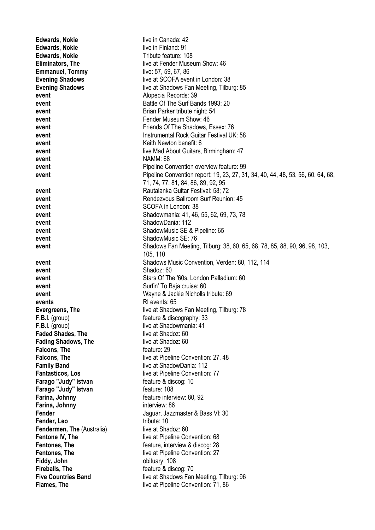| <b>Edwards, Nokie</b>                     | live in Canada: 42                                                                                                          |
|-------------------------------------------|-----------------------------------------------------------------------------------------------------------------------------|
| <b>Edwards, Nokie</b>                     | live in Finland: 91                                                                                                         |
| <b>Edwards, Nokie</b>                     | Tribute feature: 108                                                                                                        |
| Eliminators, The                          | live at Fender Museum Show: 46                                                                                              |
| <b>Emmanuel, Tommy</b>                    | live: 57, 59, 67, 86                                                                                                        |
| <b>Evening Shadows</b>                    | live at SCOFA event in London: 38                                                                                           |
| <b>Evening Shadows</b>                    | live at Shadows Fan Meeting, Tilburg: 85                                                                                    |
| event                                     | Alopecia Records: 39                                                                                                        |
| event                                     | Battle Of The Surf Bands 1993: 20                                                                                           |
| event                                     | Brian Parker tribute night: 54                                                                                              |
| event                                     | Fender Museum Show: 46                                                                                                      |
| event                                     | Friends Of The Shadows, Essex: 76                                                                                           |
| event                                     | Instrumental Rock Guitar Festival UK: 58                                                                                    |
| event                                     | Keith Newton benefit: 6                                                                                                     |
| event                                     | live Mad About Guitars, Birmingham: 47                                                                                      |
| event                                     | <b>NAMM: 68</b>                                                                                                             |
| event                                     | Pipeline Convention overview feature: 99<br>Pipeline Convention report: 19, 23, 27, 31, 34, 40, 44, 48, 53, 56, 60, 64, 68, |
| event                                     | 71, 74, 77, 81, 84, 86, 89, 92, 95                                                                                          |
| event                                     | Rautalanka Guitar Festival: 58; 72                                                                                          |
| event                                     | Rendezvous Ballroom Surf Reunion: 45                                                                                        |
| event                                     | SCOFA in London: 38                                                                                                         |
| event                                     | Shadowmania: 41, 46, 55, 62, 69, 73, 78                                                                                     |
| event                                     | ShadowDania: 112                                                                                                            |
| event                                     | ShadowMusic SE & Pipeline: 65                                                                                               |
| event                                     | ShadowMusic SE: 76                                                                                                          |
| event                                     | Shadows Fan Meeting, Tilburg: 38, 60, 65, 68, 78, 85, 88, 90, 96, 98, 103,                                                  |
|                                           | 105, 110                                                                                                                    |
| event                                     | Shadows Music Convention, Verden: 80, 112, 114                                                                              |
| event                                     | Shadoz: 60                                                                                                                  |
| event                                     | Stars Of The '60s, London Palladium: 60                                                                                     |
| event                                     | Surfin' To Baja cruise: 60                                                                                                  |
| event                                     | Wayne & Jackie Nicholls tribute: 69                                                                                         |
| events                                    | RI events: 65                                                                                                               |
| Evergreens, The                           | live at Shadows Fan Meeting, Tilburg: 78                                                                                    |
| $F.B.I.$ (group)                          | feature & discography: 33                                                                                                   |
| F.B.I. (group)                            | live at Shadowmania: 41                                                                                                     |
| <b>Faded Shades, The</b>                  | live at Shadoz: 60                                                                                                          |
| <b>Fading Shadows, The</b>                | live at Shadoz: 60                                                                                                          |
| <b>Falcons, The</b>                       | feature: 29                                                                                                                 |
| <b>Falcons, The</b><br><b>Family Band</b> | live at Pipeline Convention: 27, 48<br>live at ShadowDania: 112                                                             |
| <b>Fantasticos, Los</b>                   | live at Pipeline Convention: 77                                                                                             |
| Farago "Judy" Istvan                      | feature & discog: 10                                                                                                        |
| Farago "Judy" Istvan                      | feature: 108                                                                                                                |
| Farina, Johnny                            | feature interview: 80, 92                                                                                                   |
| Farina, Johnny                            | interview: 86                                                                                                               |
| Fender                                    | Jaguar, Jazzmaster & Bass VI: 30                                                                                            |
| Fender, Leo                               | tribute: 10                                                                                                                 |
| <b>Fendermen, The (Australia)</b>         | live at Shadoz: 60                                                                                                          |
| Fentone IV, The                           | live at Pipeline Convention: 68                                                                                             |
| <b>Fentones, The</b>                      | feature, interview & discog: 28                                                                                             |
| <b>Fentones, The</b>                      | live at Pipeline Convention: 27                                                                                             |
| Fiddy, John                               | obituary: 108                                                                                                               |
| Fireballs, The                            | feature & discog: 70                                                                                                        |
| <b>Five Countries Band</b>                | live at Shadows Fan Meeting, Tilburg: 96                                                                                    |
| Flames, The                               | live at Pipeline Convention: 71, 86                                                                                         |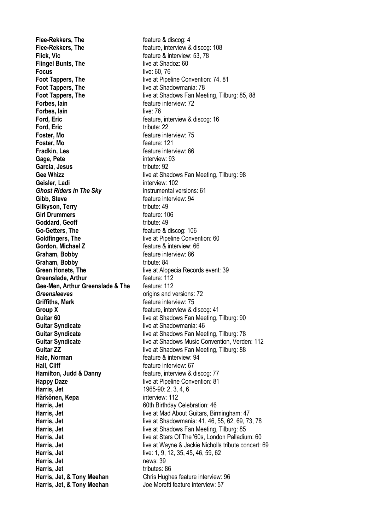**Flee-Rekkers, The discoging the feature & discoging 4 Flee-Rekkers, The Flee-Rekkers**, The **feature**, interview & discog: 108 **Flick, Vic Flick, Vice <b>Flick**, Vice **Flick**, Vice **Flick**, Vice **Flick**, Vice **Flick**, Vice **Flick Flingel Bunts, The live at Shadoz: 60 Focus** live: 60, 76 **Foot Tappers, The live at Shadowmania: 78<br>
<b>Foot Tappers, The live at Shadows Fan Mee Forbes, lain Forbes**, **Iain Forbes**, **Iain Forbes**, **Iain Forbes**, **Iain Forbes Forbes, lain** live: 76 **Ford, Eric Ford, Eric Ford, Eric feature**, interview & discog: 16 **Ford, Eric** tribute: 22 **Foster, Mo feature interview: 75 Foster, Mo feature: 121 Fradkin, Les Fradkin, Les feature interview: 66 Gage, Pete** interview: 93 Garcia, Jesus **tribute: 92 Geisler, Ladi** interview: 102 *Ghost Riders In The Sky* instrumental versions: 61 **Gibb, Steve feature interview: 94 Gilkyson, Terry** The Tribute: 49 **Girl Drummers** feature: 106 **Goddard, Geoff** tribute: 49 **Go-Getters, The Figure 2 6 and Feature & discog: 106 Goldfingers, The live at Pipeline Convention: 60 Gordon, Michael Z feature & interview: 66 Graham, Bobby feature interview: 86 Graham, Bobby** tribute: 84 **Greenslade, Arthur** feature: 112 **Gee-Men, Arthur Greenslade & The** feature: 112 **Greensleeves b Creensleeves origins** and versions: 72 **Griffiths, Mark Example 20 Feature interview: 75 Group X Group X feature**, interview & discog: 41 **Hale, Norman** feature & interview: 94 **Hall, Cliff** feature interview: 67 **Hamilton, Judd & Danny feature, interview & discog: 77 Happy Daze Happy Daze live at Pipeline Convention: 81 Harris, Jet** 1965-90: 2, 3, 4, 6 **Härkönen, Kepa** interview: 112 **Harris, Jet** 60th Birthday Celebration: 46 **Harris, Jet** live: 1, 9, 12, 35, 45, 46, 59, 62 **Harris, Jet** news: 39 **Harris, Jet** tributes: 86 **Harris, Jet, & Tony Meehan** Joe Moretti feature interview: 57

**Foot Tappers, The** live at Pipeline Convention: 74, 81 **Foot Tappers, The** live at Shadows Fan Meeting, Tilburg: 85, 88 **Gee Whizz Company** live at Shadows Fan Meeting, Tilburg: 98 **Green Honets, The live at Alopecia Records event: 39 Guitar 60 Guitar 60 Guitar 60 Guitar 60 Guitar Syndicate Constant Constant Constant Constant Constant Constant Constant Constant Constant Constant Constant Constant Constant Constant Constant Constant Constant C** live at Shadowmania: 46 **Guitar Syndicate live at Shadows Fan Meeting, Tilburg: 78 Guitar Syndicate** live at Shadows Music Convention, Verden: 112 **Guitar ZZ Guitar ZZ live at Shadows Fan Meeting, Tilburg: 88 Harris, Jet** live at Mad About Guitars, Birmingham: 47 **Harris, Jet** live at Shadowmania: 41, 46, 55, 62, 69, 73, 78 **Harris, Jet** live at Shadows Fan Meeting, Tilburg: 85 **Harris, Jet** live at Stars Of The '60s, London Palladium: 60 **Harris, Jet** live at Wayne & Jackie Nicholls tribute concert: 69 **Harris, Jet. & Tony Meehan** Chris Hughes feature interview: 96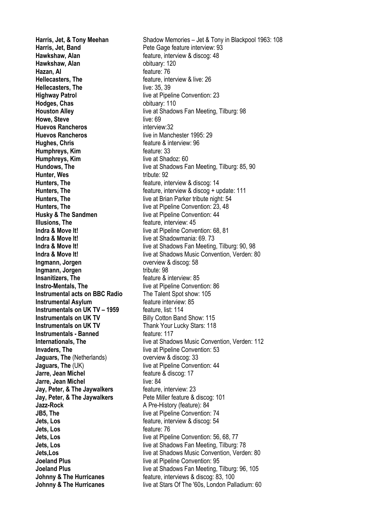**Harris, Jet. Band** Pete Gage feature interview: 93 **Hawkshaw, Alan** feature, interview & discog: 48 **Hawkshaw, Alan bituary:** 120 **Hazan, Al** feature: 76 **Hellecasters, The help is a struck of the feature, interview & live: 26 Hellecasters, The live: 35, 39 Highway Patrol Highway Patrol Example 23 Hodges, Chas bituary: 110 Howe, Steve live: 69 Huevos Rancheros interview:32 Huevos Rancheros live in Manchester 1995: 29 Hughes, Chris Example 2 Feature & interview: 96 Humphreys, Kim** feature: 33 **Humphreys, Kim** live at Shadoz: 60 **Hunter, Wes** tribute: 92 **Hunters. The <b>Figure** 14 **Hunters**, The **heature** feature, interview & discog: 14 **Husky & The Sandmen** live at Pipeline Convention: 44 **Illusions, The** *Illusions* **Interview: 45 Indra & Move It! Indra & Move It! indra & Move It! index index index i** live at Shadowmania: 69. 73 **Ingmann, Jorgen by Construction Construction Construction Construction Construction Construction Construction Construction Construction Construction Construction Construction Construction Construction Construction Const Ingmann, Jorgen Tribute: 98 Insanitizers, The** *Insanitizers* **Insanitizers Interview**: 85 **Instro-Mentals, The** live at Pipeline Convention: 86 **Instrumental acts on BBC Radio** The Talent Spot show: 105 **Instrumental Asylum** feature interview: 85 **Instrumentals on UK TV – 1959** feature, list: 114 **Instrumentals on UK TV** Billy Cotton Band Show: 115 **Instrumentals on UK TV** Thank Your Lucky Stars: 118 **Instrumentals - Banned Facture: 117 Invaders. The live at Pipeline Convention: 53 Jaguars, The (Netherlands)** overview & discog: 33 **Jaguars, The** (UK) live at Pipeline Convention: 44 **Jarre, Jean Michel Jarre, Jean Michel Feature & discog: 17 Jarre, Jean Michel Live: 84 Jay, Peter, & The Jaywalkers** feature, interview: 23 **Jay, Peter, & The Jaywalkers** Pete Miller feature & discog: 101 **Jazz-Rock A Pre-History (feature): 84 JB5. The** live at Pipeline Convention: 74 **Jets. Los** feature, interview & discog: 54 **Jets. Los** feature: 76 **Joeland Plus Convention:** 95

**Harris, Jet, & Tony Meehan** Shadow Memories – Jet & Tony in Blackpool 1963: 108 **Houston Alley live at Shadows Fan Meeting, Tilburg: 98 Hundows, The live at Shadows Fan Meeting, Tilburg: 85, 90 Hunters, The https://educe.org/interview & discog + update: 111 Hunters, The live at Brian Parker tribute night: 54 Hunters, The** live at Pipeline Convention: 23, 48 **Indra & Move It!** live at Pipeline Convention: 68, 81 **Indra & Move It!** live at Shadows Fan Meeting, Tilburg: 90, 98 **Indra & Move It! Indra & Move It! indra & Move It! indra & Move It! indra & Move It! index** at Shadows Music Convention, Verden: 80 **Internationals, The** live at Shadows Music Convention, Verden: 112 **Jets, Los** live at Pipeline Convention: 56, 68, 77 **Jets, Los** live at Shadows Fan Meeting. Tilburg: 78 **Jets,Los live at Shadows Music Convention, Verden: 80 Joeland Plus live at Shadows Fan Meeting, Tilburg: 96, 105 Johnny & The Hurricanes feature, interviews & discog: 83, 100 Johnny & The Hurricanes** live at Stars Of The '60s, London Palladium: 60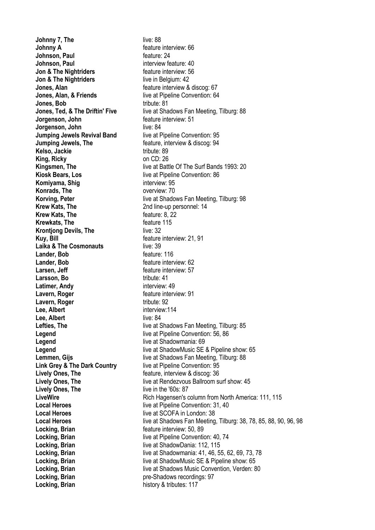**Johnny 7, The live: 88 Johnny A feature interview: 66 Johnson, Paul feature: 24 Johnson, Paul interview feature: 40 Jon & The Nightriders feature interview: 56 Jon & The Nightriders** live in Belgium: 42 **Jones, Alan Jones**, Alan **Jones, Alan, & Friends** live at Pipeline Convention: 64 **Jones. Bob** tribute: 81 **Jorgenson, John feature interview: 51 Jorgenson, John**<br> **Jumping Jewels Revival Band** live at Pipeline Convention: 95 **Jumping Jewels Revival Band Jumping Jewels, The The Feature, interview & discog: 94 Kelso, Jackie** tribute: 89 **King, Ricky** on CD: 26 **Kiosk Bears, Los** live at Pipeline Convention: 86 **Komiyama, Shig interview: 95 Konrads, The Contract Contract Contract Contract Contract Contract Contract Contract Contract Contract Contract Contract Contract Contract Contract Contract Contract Contract Contract Contract Contract Contract Contract C Krew Kats, The** 2nd line-up personnel: 14 **Krew Kats, The feature: 8, 22 Krewkats, The feature 115 Krontjong Devils, The live: 32 Kuy, Bill Kuy, Bill Kuy, Bill Feature interview: 21, 91 Laika & The Cosmonauts** live: 39 **Lander, Bob feature: 116 Lander, Bob feature interview: 62 Larsen, Jeff decay of the set of the feature interview: 57 Larsson, Bo** tribute: 41<br> **Latimer, Andy** the state interview: 49 **Latimer, Andy Lavern, Roger Example 2018 C C Example 2018 Feature interview: 91 Lavern, Roger** The Tribute: 92 **Lee. Albert** interview:114 **Lee, Albert** live: 84 **Legend** live at Shadowmania: 69 **Link Grey & The Dark Country** live at Pipeline Convention: 95 **Lively Ones, The** *Exercise Conecast* Exercise the feature, interview & discog: 36 **Lively Ones, The live in the '60s: 87 Local Heroes** live at SCOFA in London: 38 **Locking, Brian Example 2018 Locking, Brian feature interview: 50, 89 Locking, Brian Locking, Brian** live at ShadowDania: 112, 115 **Locking, Brian pre-Shadows recordings: 97 Locking, Brian history & tributes: 117** 

**Jones, Ted, & The Driftin' Five** live at Shadows Fan Meeting, Tilburg: 88 **Kingsmen, The live at Battle Of The Surf Bands 1993: 20 Korving, Peter live at Shadows Fan Meeting, Tilburg: 98 Lefties, The** live at Shadows Fan Meeting, Tilburg: 85 **Legend Legend live at Pipeline Convention: 56, 86 Legend live at ShadowMusic SE & Pipeline show: 65 Lemmen, Gijs live at Shadows Fan Meeting, Tilburg: 88 Lively Ones. The live at Rendezvous Ballroom surf show: 45 LiveWire Rich Hagensen's column from North America: 111, 115 Local Heroes live at Pipeline Convention: 31, 40 Local Heroes** live at Shadows Fan Meeting, Tilburg: 38, 78, 85, 88, 90, 96, 98 **Locking, Brian** live at Pipeline Convention: 40, 74 **Locking, Brian** live at Shadowmania: 41, 46, 55, 62, 69, 73, 78 **Locking, Brian live at ShadowMusic SE & Pipeline show: 65 Locking, Brian** live at Shadows Music Convention, Verden: 80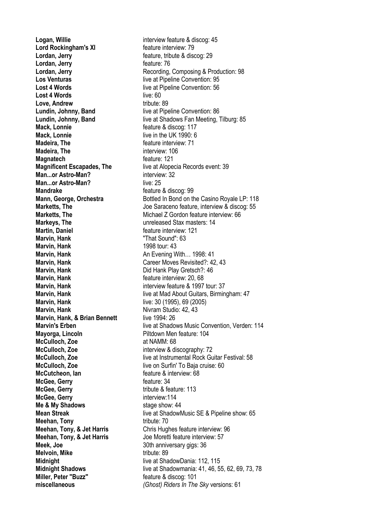**Logan, Willie** interview feature & discog: 45 **Lord Rockingham's XI** feature interview: 79 **Lordan, Jerry Example 20 Feature, tribute & discog: 29 Lordan, Jerry feature: 76 Lost 4 Words Lost 4 Words live at Pipeline Convention: 56 Lost 4 Words** live: 60 **Love, Andrew** tribute: 89 **Lundin, Johnny, Band** live at Pipeline Convention: 86 **Mack, Lonnie Mack, Lonnie feature & discog: 117 Mack, Lonnie** live in the UK 1990: 6 **Madeira. The metally constructed a metally metally feature interview: 71 Madeira, The interview: 106 Magnatech Magnatech feature:** 121 **Man...or Astro-Man?** interview: 32 **Man...or Astro-Man?** live: 25 **Mandrake Mandrake feature & discog: 99 Markeys, The**  Unreleased Stax masters: 14 **Martin, Daniel and America and Seature interview: 121 Marvin, Hank** "That Sound": 63 **Marvin, Hank** 1998 tour: 43 **Marvin, Hank An Evening With... 1998: 41 Marvin, Hank Marvin, Hank Did Hank Play Gretsch?**: 46 **Marvin, Hank hank hank feature interview: 20, 68 Marvin, Hank interview feature & 1997 tour: 37 Marvin, Hank Marving Hank live:** 30 (1995), 69 (2005) **Marvin, Hank** Nivram Studio: 42, 43 **Marvin, Hank, & Brian Bennett** live 1994: 26 **Mayorga, Lincoln** Piltdown Men feature: 104 **McCulloch, Zoe** at NAMM: 68 **McCulloch, Zoe** interview & discography: 72 **McCulloch, Zoe** live on Surfin' To Baja cruise: 60 **McCutcheon, Ian feature & interview: 68 McGee, Gerry feature: 34 McGee, Gerry** tribute & feature: 113 **McGee, Gerry interview:114 Me & My Shadows** stage show: 44 **Meehan, Tony** tribute: 70 **Meehan, Tony, & Jet Harris** Joe Moretti feature interview: 57 **Meek, Joe** 30th anniversary gigs: 36 **Melvoin, Mike** tribute: 89 **Midnight Midnight** live at ShadowDania: 112, 115 **Miller, Peter "Buzz"** feature & discog: 101

**Lordan, Jerry <b>Recording, Composing & Production: 98**<br>
Los Venturas **Notain** Recording, Composing & Production: 95 live at Pipeline Convention: 95 **Lundin, Johnny, Band** live at Shadows Fan Meeting, Tilburg: 85 **Magnificent Escapades, The** live at Alopecia Records event: 39 **Mann, George, Orchestra** Bottled In Bond on the Casino Royale LP: 118 **Marketts, The Saraceno feature, interview & discog: 55 Marketts, The Michael Z Gordon feature interview: 66 Marvin, Hank** Career Moves Revisited?: 42, 43 **Marvin, Hank Marving Arrow Edge Arrow Hive at Mad About Guitars, Birmingham: 47 Marvin's Erben live at Shadows Music Convention, Verden: 114 McCulloch, Zoe** live at Instrumental Rock Guitar Festival: 58 **Mean Streak live at ShadowMusic SE & Pipeline show: 65 Meehan, Tony, & Jet Harris** Chris Hughes feature interview: 96 **Midnight Shadows** live at Shadowmania: 41, 46, 55, 62, 69, 73, 78 **miscellaneous** *(Ghost) Riders In The Sky* versions: 61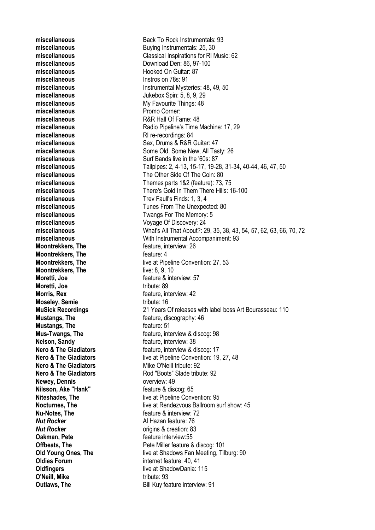**miscellaneous** Hooked On Guitar: 87 **miscellaneous** Instros on 78s: 91 **miscellaneous Promo Corner: miscellaneous** R&R Hall Of Fame: 48 **miscellaneous** RI re-recordings: 84 **Moontrekkers, The discreption of the feature, interview: 26 Moontrekkers. The discreened in the feature: 4 Moontrekkers, The live: 8, 9, 10 Moretti, Joe https://web/interview.org/feature & interview: 57 Moretti, Joe** tribute: 89 **Morris, Rex department of the stature of the Morris Rex** feature, interview: 42 **Moseley, Semie** tribute: 16 **Mustangs, The discretion of the feature: 51 Nelson, Sandy** *CON* **EXECUTE: Nelson, Sandy** *CON CON CON CON CON CON CON CON CON CON CON CON CON CON CON CON CON CON CON CON CON C* **Nero & The Gladiators** Mike O'Neill tribute: 92 **Newey, Dennis Newey, Dennis overview: 49 Nilsson, Ake "Hank"** feature & discog: 65 **Nu-Notes. The** *Nu***-Notes, The** *number* **<b>n** *i feature & interview: 72 Nut Rocker* Al Hazan feature: 76 *Nut Rocker* **b** *Nut Rocker* **origins & creation: 83 Oakman, Pete** *Cakman, Pete Cakman, Pete Cakman, Pete Cakman, Pete Cakman, Peter Cakman, Peter Cakman, Peter Cakman, Peter Cakman, Peter Cakman, Peter Cakman, Peter Cakman, Pet* **Oldies Forum** internet feature: 40, 41 **O'Neill, Mike** tribute: 93

**miscellaneous** Back To Rock Instrumentals: 93 **miscellaneous** Buying Instrumentals: 25, 30 **miscellaneous** Classical Inspirations for RI Music: 62 miscellaneous Download Den: 86, 97-100 **miscellaneous** Instrumental Mysteries: 48, 49, 50 **miscellaneous** Jukebox Spin: 5, 8, 9, 29 **miscellaneous** My Favourite Things: 48 **miscellaneous** Radio Pipeline's Time Machine: 17, 29 **miscellaneous** Sax, Drums & R&R Guitar: 47 miscellaneous **miscellaneous** Some Old, Some New, All Tasty: 26 **miscellaneous** Surf Bands live in the '60s: 87 **miscellaneous** Tailpipes: 2, 4-13, 15-17, 19-28, 31-34, 40-44, 46, 47, 50 **miscellaneous** The Other Side Of The Coin: 80 **miscellaneous** Themes parts 1&2 (feature): 73, 75 **miscellaneous** There's Gold In Them There Hills: 16-100 **miscellaneous** Trev Faull's Finds: 1, 3, 4 **miscellaneous** Tunes From The Unexpected: 80 **miscellaneous** Twangs For The Memory: 5 **miscellaneous** Voyage Of Discovery: 24 **miscellaneous** What's All That About?: 29, 35, 38, 43, 54, 57, 62, 63, 66, 70, 72 **miscellaneous** With Instrumental Accompaniment: 93 **Moontrekkers, The** live at Pipeline Convention: 27, 53 **MuSick Recordings** 21 Years Of releases with label boss Art Bourasseau: 110 **Mustangs, The discography: 46** *COMPANY: 46 COMPANY: 46* **Mus-Twangs, The heature**, interview & discog: 98 **Nero & The Gladiators** *CON CON CON CON CON CON CON CON CON CON CON CON CON CON CON CON CON CON CON CON CON CON CON CON CON* **Nero & The Gladiators** live at Pipeline Convention: 19, 27, 48 **Nero & The Gladiators** Rod "Boots" Slade tribute: 92 **Niteshades. The live at Pipeline Convention: 95 Nocturnes, The** live at Rendezvous Ballroom surf show: 45 **Offbeats. The Community Community Pete Miller feature & discog: 101 Old Young Ones, The live at Shadows Fan Meeting, Tilburg: 90 Oldfingers Contract Contract Contract Contract Contract Contract Contract Contract Contract Contract Contract Contract Contract Contract Contract Contract Contract Contract Contract Contract Contract Contract Contract C Outlaws, The** Bill Kuy feature interview: 91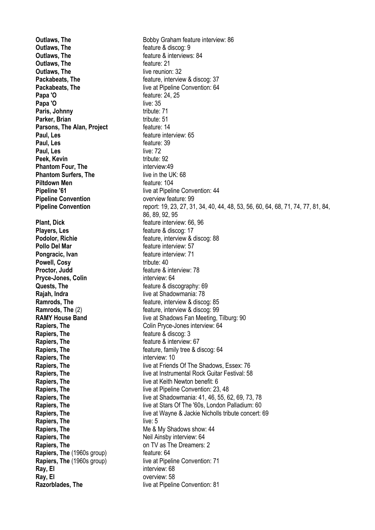**Outlaws. The example 3 and 19 and 19 and 19 and 19 and 19 and 19 and 19 and 19 and 19 and 19 and 19 and 19 and 19 and 19 and 19 and 19 and 19 and 19 and 19 and 19 and 19 and 19 and 19 and 19 and 19 and 19 and 19 and 19 an Outlaws. The example 3 and The feature & interviews: 84 Outlaws. The discussion of the feature: 21 Outlaws, The live reunion: 32 Papa 'O feature: 24, 25 Papa 'O** live: 35 **Paris, Johnny** tribute: 71 **Parker, Brian** tribute: 51 **Parsons, The Alan, Project** feature: 14 **Paul, Les** *Paul* **Paul, Les** feature: 39 **Paul, Les** live: 72 **Peek, Kevin tribute: 92 Phantom Four, The interview:49 Phantom Surfers, The live in the UK: 68 Piltdown Men feature: 104 Pipeline Convention Convention Convention overview feature: 99 Plant, Dick** *Plant* **Plant** *Plant Plant Plant Plant Plant Plant* **<b>***Plant Plant Plant* **<b>***Plant Plant Plant* **<b>***Plant Plant Plant Plant* **<b>***Plant Plant Plant* **Players, Les** feature & discog: 17 **Pollo Del Mar feature interview: 57 Pongracic, Ivan Feature interview: 71 Powell, Cosy** tribute: 40 **Proctor, Judd Figure 8 Figure 8 Figure 8 Figure 8 interview: 78 Pryce-Jones, Colin** interview: 64 **Quests, The discography: 69 Rajah, Indra** live at Shadowmania: 78 **Rapiers, The discogillation** feature & discogillation **Rapiers, The Rapiers**, The **reading the feature & interview: 67 Rapiers, The interview: 10 Rapiers, The live: 5 Rapiers, The Neil Ainsby interview: 64 Rapiers, The CONSCRUTE CONSTRUCTER CONSTRUCTER CONSTRUCTER CONSTRUCTER CONSTRUCTER CONSTRUCTER Rapiers, The (1960s group) feature: 64 Ray, El interview: 68 Ray, El** overview: 58

**Outlaws, The** Bobby Graham feature interview: 86 **Packabeats, The metally result as a feature, interview & discog: 37 Packabeats, The live at Pipeline Convention: 64 Pipeline '61 Pipeline '61 live at Pipeline Convention: 44 Pipeline Convention** report: 19, 23, 27, 31, 34, 40, 44, 48, 53, 56, 60, 64, 68, 71, 74, 77, 81, 84, 86, 89, 92, 95 **Podolor, Richie Feature**, interview & discog: 88 **Ramrods, The Ramrods, The Feature**, interview & discog: 85 **Ramrods, The** (2) feature, interview & discog: 99 **RAMY House Band RAMY** House **Band live at Shadows Fan Meeting, Tilburg: 90 Rapiers, The** Colin Pryce-Jones interview: 64 **Rapiers, The Feature, family tree & discog: 64 Rapiers, The** live at Friends Of The Shadows, Essex: 76 **Rapiers, The Rapiers, The** live at Instrumental Rock Guitar Festival: 58 **Rapiers. The Rapiers Rapiers Rapiers Rapiers Rapiers Rapiers Rapiers Rapiers Rapiers Rapiers Rapiers Rapiers Rapiers Rapiers Rapiers Rapiers Rapiers Rapiers Rapiers Rapiers Rapier Rapiers, The Rapiers**, The **live at Pipeline Convention: 23, 48 Rapiers, The live at Shadowmania: 41, 46, 55, 62, 69, 73, 78 Rapiers, The** live at Stars Of The '60s, London Palladium: 60 **Rapiers, The live at Wayne & Jackie Nicholls tribute concert: 69 Rapiers. The New Shadows show: 44 Me & My Shadows show: 44 Rapiers, The (1960s group) live at Pipeline Convention: 71 Razorblades, The** live at Pipeline Convention: 81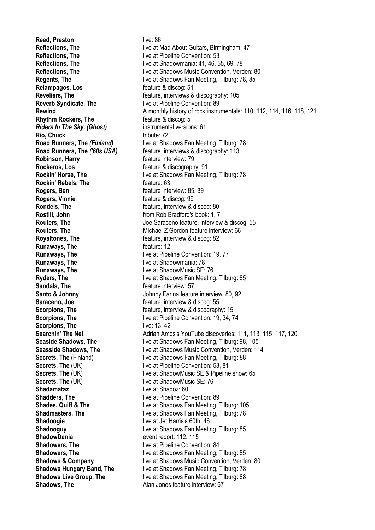**Reed, Preston live: 86 Reflections, The live at Pipeline Convention: 53 Relampagos, Los** feature & discog: 51 **Reverb Syndicate, The live at Pipeline Convention: 89 Rhythm Rockers, The feature & discog: 5** *Riders In The Sky, (Ghost)* instrumental versions: 61 **Rio, Chuck** tribute: 72 **Robinson, Harry Feature interview: 79 Rockeros, Los** feature & discography: 91 **Rockin' Rebels, The department of Feature: 63 Rogers, Ben Feature interview: 85, 89 Rogers, Vinnie** *Rogers*, **Vinnie** *Rogers*, **Vinnie** *Rogers*, **Vinnie** *Rogers*, *Pg* **Rondels. The Example 20 Feature, interview & discog: 80 Rostill, John Rostill, John From Rob Bradford's book: 1, 7 Royaltones, The The Example 20 Feature, interview & discog: 82 Runaways, The discreparagement of the feature: 12 Runaways, The live at Shadowmania: 78 Runaways, The live at ShadowMusic SE: 76 Sandals, The** *Sandals* **Figure 12 Figure 12 Figure 12 Figure 12 Figure 12 Figure 12 Figure 12 Figure 12 Figure 12 Figure 12 Figure 12 Figure 12 Figure 12 Figure 12 Figure 12 Figure 12 Fi Saraceno, Joe Saraceno, Joe Feature**, interview & discog: 55 **Scorpions, The live: 13, 42 Secrets. The** (UK) live at ShadowMusic SE: 76 **Shadamataz** live at Shadoz: 60 **Shadders, The** live at Pipeline Convention: 89 **Shadoogie** live at Jet Harris's 60th: 46 **ShadowDania** event report: 112, 115 **Shadowers. The live at Pipeline Convention: 84 Shadows, The Alan Jones feature interview: 67** 

**Reflections. The live at Mad About Guitars, Birmingham: 47 Reflections. The live at Shadowmania: 41, 46, 55, 69, 78 Reflections, The live at Shadows Music Convention, Verden: 80 Regents, The** live at Shadows Fan Meeting, Tilburg: 78, 85 **Reveliers, The Reveliers**, The **reveliers Feature**, interviews & discography: 105 **Rewind** A monthly history of rock instrumentals: 110, 112, 114, 116, 118, 121 **Road Runners, The** *(Finland)* live at Shadows Fan Meeting, Tilburg: 78 **Road Runners, The** *('60s USA)* feature, interviews & discography: 113 **Rockin' Horse, The live at Shadows Fan Meeting, Tilburg: 78 Routers, The** Joe Saraceno feature, interview & discog: 55 **Routers, The Michael Z Gordon feature interview: 66 Runaways, The live at Pipeline Convention: 19, 77 Ryders, The** live at Shadows Fan Meeting, Tilburg: 85 **Santo & Johnny Santo & Johnny** Johnny Farina feature interview: 80, 92 **Scorpions, The Scorpions**, The **feature**, interview & discography: 15 **Scorpions, The** live at Pipeline Convention: 19, 34, 74 **Searchin' The Net** Adrian Amos's YouTube discoveries: 111, 113, 115, 117, 120 **Seaside Shadows, The** live at Shadows Fan Meeting, Tilburg: 98, 105 **Seasside Shadows, The Shadows Music Convention, Verden: 114 Secrets, The (Finland)** live at Shadows Fan Meeting, Tilburg: 88 **Secrets, The** (UK) live at Pipeline Convention: 53, 81 **Secrets, The** (UK) live at ShadowMusic SE & Pipeline show: 65 **Shades, Quiff & The** live at Shadows Fan Meeting, Tilburg: 105 **Shadmasters, The live at Shadows Fan Meeting, Tilburg: 78 Shadooguy Shadooguy live at Shadows Fan Meeting, Tilburg: 85 Shadowers, The** live at Shadows Fan Meeting, Tilburg: 85 **Shadows & Company** live at Shadows Music Convention, Verden: 80 **Shadows Hungary Band, The live at Shadows Fan Meeting, Tilburg: 78 Shadows Live Group, The live at Shadows Fan Meeting, Tilburg: 88**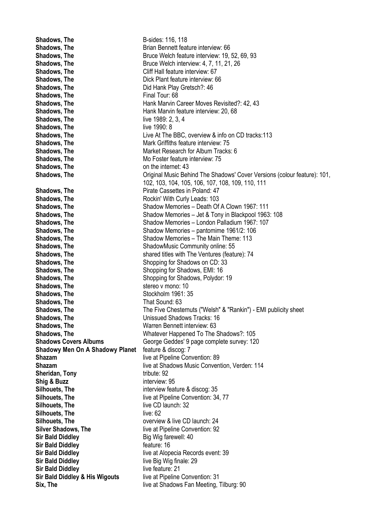**Shadows, The B-sides: 116, 118 Shadows. The Shadows All Englisher Brian Bennett feature interview: 66 Shadows, The** Bruce Welch feature interview: 19, 52, 69, 93 **Shadows, The Bruce Welch interview: 4, 7, 11, 21, 26 Shadows, The Cliff Hall feature interview: 67 Shadows, The Change Communist Communist Plant feature interview: 66 Shadows, The Change Communist Play Gretsch?: 46 Shadows, The Final Tour: 68 Shadows, The <b>Hank Marvin Career Moves Revisited**?: 42, 43 **Shadows, The <b>Hank Marvin** feature interview: 20, 68 **Shadows, The live 1989: 2, 3, 4 Shadows, The live 1990: 8 Shadows, The** Live At The BBC, overview & info on CD tracks:113 **Shadows. The Mark Griffiths feature interview: 75 Shadows, The Market Research for Album Tracks: 6 Shadows. The Mo Foster feature interview: 75 Shadows, The state on the internet: 43 Shadows, The Shadows** Criginal Music Behind The Shadows' Cover Versions (colour feature): 101, 102, 103, 104, 105, 106, 107, 108, 109, 110, 111 **Shadows, The <b>Pirate Cassettes** in Poland: 47 **Shadows, The Rockin' With Curly Leads: 103 Shadows, The Shadow Memories – Death Of A Clown 1967: 111 Shadows, The** Shadow Memories – Jet & Tony in Blackpool 1963: 108 **Shadows, The Shadow Memories – London Palladium 1967: 107 Shadows, The** Shadow Memories – pantomime 1961/2: 106 **Shadows. The** Shadow Memories – The Main Theme: 113 **Shadows, The ShadowMusic Community online: 55 Shadows. The shared titles with The Ventures (feature): 74 Shadows, The Shopping for Shadows on CD: 33 Shadows, The Shopping for Shadows, EMI: 16 Shadows, The Shopping for Shadows, Polydor: 19 Shadows, The stereo v mono: 10 Shadows. The Stockholm 1961: 35 Shadows, The That Sound: 63 Shadows, The** The Five Chesternuts ("Welsh" & "Rankin") - EMI publicity sheet **Shadows, The Shadows Tracks: 16 Shadows, The Warren Bennett interview: 63 Shadows, The** Whatever Happened To The Shadows?: 105 **Shadows Covers Albums** George Geddes' 9 page complete survey: 120 **Shadowy Men On A Shadowy Planet** feature & discog: 7 **Shazam live at Pipeline Convention: 89 Shazam live at Shadows Music Convention, Verden: 114 Sheridan, Tony** tribute: 92 **Shig & Buzz** interview: 95 **Silhouets, The** interview feature & discog: 35 **Silhouets. The live at Pipeline Convention: 34, 77 Silhouets, The live CD launch: 32 Silhouets. The live: 62 Silhouets. The state overview & live CD launch: 24 Silver Shadows, The live at Pipeline Convention: 92 Sir Bald Diddley** Big Wig farewell: 40 **Sir Bald Diddley feature: 16 Sir Bald Diddley** live at Alopecia Records event: 39 **Sir Bald Diddley live Big Wig finale: 29 Sir Bald Diddley live feature: 21 Sir Bald Diddley & His Wigouts** live at Pipeline Convention: 31 **Six, The live at Shadows Fan Meeting, Tilburg: 90**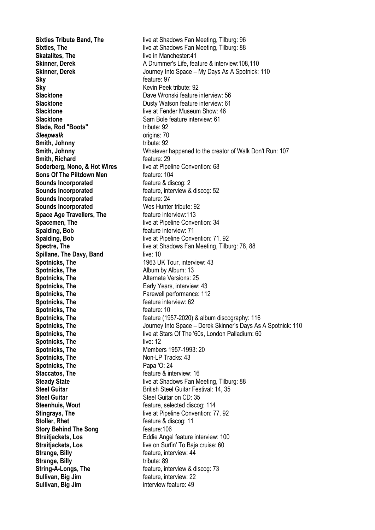**Skatalites, The live in Manchester:41 Sky** feature: 97 **Sky** Kevin Peek tribute: 92 **Slacktone** Sam Bole feature interview: 61 **Slade, Rod "Boots"** tribute: 92 **Sleepwalk** origins: 70 **Smith, Johnny** tribute: 92 **Smith, Richard feature: 29 Soderberg, Nono, & Hot Wires** live at Pipeline Convention: 68 **Sons Of The Piltdown Men** feature: 104 **Sounds Incorporated feature & discog: 2 Sounds Incorporated feature, interview & discog: 52 Sounds Incorporated feature: 24 Sounds Incorporated** Wes Hunter tribute: 92 **Space Age Travellers, The feature interview:113 Spacemen. The live at Pipeline Convention: 34 Spalding, Bob feature interview: 71 Spillane, The Davy, Band** live: 10 **Spotnicks, The 1963 UK Tour, interview: 43 Spotnicks, The Album by Album: 13 Spotnicks, The Alternate Versions: 25 Spotnicks, The Early Years, interview: 43 Spotnicks, The Farewell performance: 112 Spotnicks. The feature interview: 62 Spotnicks, The feature: 10 Spotnicks, The live: 12 Spotnicks. The Members 1957-1993: 20 Spotnicks, The Non-LP Tracks: 43 Spotnicks, The Papa 'O: 24 Staccatos, The feature & interview: 16 Steel Guitar** Steel Guitar on CD: 35 **Steenhuis, Wout Steenhuis**, **Wout Feature**, selected discog: 114 **Stoller, Rhet feature & discog: 11 Story Behind The Song** feature: 106 **Strange, Billy Strange, Billy feature**, interview:  $44$ **Strange, Billy** tribute: 89 **String-A-Longs, The** feature, interview & discog: 73 **Sullivan, Big Jim feature**, interview: 22 **Sullivan, Big Jim** interview feature: 49

**Sixties Tribute Band, The** live at Shadows Fan Meeting, Tilburg: 96 **Sixties. The live at Shadows Fan Meeting, Tilburg: 88 Skinner, Derek A Drummer's Life, feature & interview: 108,110 Skinner, Derek** Journey Into Space – My Days As A Spotnick: 110 **Slacktone** Dave Wronski feature interview: 56 **Slacktone** Dusty Watson feature interview: 61 **Slacktone Slacktone live at Fender Museum Show: 46 Smith, Johnny** Whatever happened to the creator of Walk Don't Run: 107 **Spalding, Bob** live at Pipeline Convention: 71, 92 **Spectre, The** live at Shadows Fan Meeting, Tilburg: 78, 88 **Spotnicks, The feature (1957-2020) & album discography: 116 Spotnicks, The** Journey Into Space – Derek Skinner's Days As A Spotnick: 110 **Spotnicks, The** live at Stars Of The '60s, London Palladium: 60 **Steady State live at Shadows Fan Meeting, Tilburg: 88 Steel Guitar** British Steel Guitar Festival: 14, 35 **Stingrays, The** live at Pipeline Convention: 77, 92 **Straitjackets, Los** Eddie Angel feature interview: 100 **Straitiackets, Los** live on Surfin' To Baja cruise: 60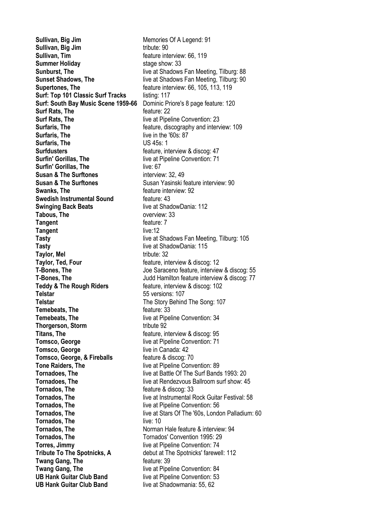**Sullivan, Big Jim** tribute: 90 **Sullivan, Tim Sullivan, Tim feature interview: 66, 119 Summer Holiday** stage show: 33 **Supertones. The feature interview: 66, 105, 113, 119 Surf: Top 101 Classic Surf Tracks** listing: 117 **Surf: South Bay Music Scene 1959-66** Dominic Priore's 8 page feature: 120 **Surf Rats, The discrete and feature: 22 Surf Rats. The live at Pipeline Convention: 23 Surfaris, The** live in the '60s: 87 **Surfaris, The Contract Contract Contract Contract Contract Contract Contract Contract Contract Contract Contract Contract Contract Contract Contract Contract Contract Contract Contract Contract Contract Contract Contract Surfdusters Surfdusters feature**, interview & discog: 47 **Surfin' Gorillas, The live at Pipeline Convention: 71 Surfin' Gorillas, The live: 67 Susan & The Surftones** interview: 32, 49 **Susan & The Surftones**<br>
Susan Yasinski feature interview: 92<br>
feature interview: 92 **Swedish Instrumental Sound feature: 43 Swinging Back Beats** live at ShadowDania: 112 Tabous, The **Decision Contract Contract Contract Contract Contract Contract Contract Contract Contract Contract Contract Contract Contract Contract Contract Contract Contract Contract Contract Contract Contract Contract Co Tangent Tangent Feature: 7 Tangent** live:12 **Tasty** live at ShadowDania: 115 **Taylor, Mel** tribute: 32 **Taylor, Ted, Four Figure 12 Figure Figure Figure Figure Figure Figure Figure Figure Figure Figure Figure Figure Figure Figure Figure Figure Figure Figure Figure Figure Figure Teddy & The Rough Riders feature, interview & discog: 102 Telstar** 55 versions: 107 **Telstar** The Story Behind The Song: 107 **Temebeats, The discreparagement of the feature: 33 Temebeats. The live at Pipeline Convention: 34 Thorgerson, Storm** tribute 92 **Titans, The Figure 2012 Feature, interview & discog: 95 Tomsco, George** live at Pipeline Convention: 71 **Tomsco, George live in Canada: 42 Tomsco, George, & Fireballs feature & discog: 70 Tone Raiders, The live at Pipeline Convention: 89 Tornados, The discoging the feature & discoging 33 Tornados, The If the live at Pipeline Convention: 56 Tornados, The live: 10 Tornados, The** Norman Hale feature & interview: 94 **Tornados, The Tornados' Convention 1995: 29 Torres, Jimmy Torres Jimmy live at Pipeline Convention: 74 Tribute To The Spotnicks, A** debut at The Spotnicks' farewell: 112 **Twang Gang, The discrept in the feature: 39 Twang Gang, The live at Pipeline Convention: 84 UB Hank Guitar Club Band** live at Pipeline Convention: 53 **UB Hank Guitar Club Band** live at Shadowmania: 55, 62

**Sullivan, Big Jim** Memories Of A Legend: 91 **Sunburst, The** live at Shadows Fan Meeting, Tilburg: 88 **Sunset Shadows, The live at Shadows Fan Meeting, Tilburg: 90 Surfaris, The Surfaris, The feature**, discography and interview: 109 feature interview: 92 **Tasty Tasty Tasty Example 2018 I** live at Shadows Fan Meeting, Tilburg: 105 **T-Bones, The** Joe Saraceno feature, interview & discog: 55 **T-Bones, The** Judd Hamilton feature interview & discog: 77 **Tornadoes, The live at Battle Of The Surf Bands 1993: 20 Tornadoes. The live at Rendezvous Ballroom surf show: 45 Tornados, The** live at Instrumental Rock Guitar Festival: 58 **Tornados, The live at Stars Of The '60s, London Palladium: 60**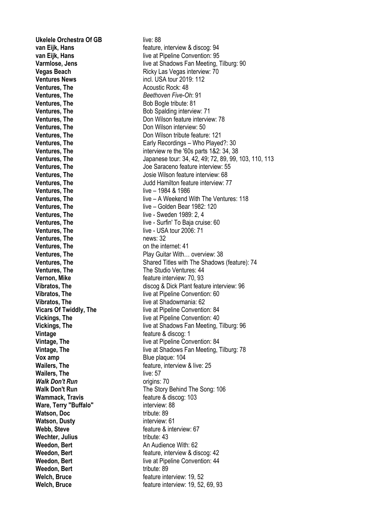**Ukelele Orchestra Of GB** live: 88 **Ventures, The Constitution Constructs** Acoustic Rock: 48 **Ventures, The** *Beethoven Five-Oh*: 91 **Ventures, The** Bob Bogle tribute: 81 **Ventures. The live – 1984 & 1986 Ventures. The live - Sweden 1989: 2, 4 Ventures. The live - USA tour 2006: 71 Ventures. The news: 32 Ventures. The ventures on the internet: 41 Vernon, Mike** *Vernon, Mike Parameters Parameters Parameters* **<b>***Parameters Parameters Parameters Parameters Parameters* **<b>***Parameters Parameters Parameters Parameters Parameters* **Vintage feature & discog: 1 Vox amp** Blue plaque: 104 **Wailers. The live: 57** *Walk Don't Run* **by Community Community Community Community Community Community Community Community Community Community Community Community Community Community Community Community Community Community Community Community Wammack, Travis Example 2 Wammack, Travis Figure 2 feature & discog: 103 Ware, Terry "Buffalo"** interview: 88 **Watson, Doc** tribute: 89 **Watson, Dusty interview: 61 Webb, Steve** *Webb, Steve CO* **Wechter, Julius** tribute: 43 **Weedon, Bert** An Audience With: 62 **Weedon, Bert** tribute: 89 **Welch, Bruce** *Welch, Bruce CO* 

**van Eijk, Hans van Eijk, Hans feature**, interview & discog: 94 **van Eijk, Hans van Eijk, Hans live at Pipeline Convention: 95 Varmlose, Jens Varmlose, Jens live at Shadows Fan Meeting, Tilburg: 90 Vegas Beach** Ricky Las Vegas interview: 70 **Ventures News** incl. USA tour 2019: 112 **Ventures. The Community Community Community Community Community Community Community Community Community Community Community Community Community Community Community Community Community Community Community Community Communi Ventures, The Connection Connective Connection** Don Wilson feature interview: 78 **Ventures, The Communist Communist Communist Communist Communist Communist Communist Communist Communist Communist Communist Communist Communist Communist Communist Communist Communist Communist Communist Communist Communi Ventures. The Connect Example 20 Vilson tribute feature: 121 Ventures, The Early Recordings – Who Played?: 30 Ventures, The** interview re the '60s parts 1&2: 34, 38 **Ventures, The** Japanese tour: 34, 42, 49; 72, 89, 99, 103, 110, 113 **Ventures, The Ventures, The** Joe Saraceno feature interview: 55 **Ventures. The Ventures of The Contract Accord Accord Accord Josie Wilson feature interview: 68 Ventures. The Ventures of Allementary Accord Judd Hamilton feature interview: 77 Ventures, The** live – A Weekend With The Ventures: 118 **Ventures, The** live – Golden Bear 1982: 120 **Ventures. The live - Surfin' To Baja cruise: 60 Ventures, The Community Community Play Guitar With... overview: 38 Ventures, The** Shared Titles with The Shadows (feature): 74 **Ventures, The The Studio Ventures: 44 Vibratos, The** discog & Dick Plant feature interview: 96 **Vibratos. The live at Pipeline Convention: 60 Vibratos, The** live at Shadowmania: 62 **Vicars Of Twiddly, The live at Pipeline Convention: 84 Vickings, The live at Pipeline Convention: 40 Vickings, The live at Shadows Fan Meeting, Tilburg: 96 Vintage, The** live at Pipeline Convention: 84 **Vintage, The** live at Shadows Fan Meeting, Tilburg: 78 **Wailers, The** *Wailers*, The *Mailers*, The *Mailers*, The *Mailers*, The *Mailers*, The *Mailers* **Walk Don't Run** The Story Behind The Song: 106 **Weedon, Bert Example 20 FEATURE: FEATURE: FEATURE: FEATURE: FEATURE: FEATURE: FEATURE: FEATURE: FEATURE: FEATURE: FEATURE: FEATURE: FEATURE: FEATURE: FEATURE: FEATURE: FEATURE: FEATUR Weedon, Bert live at Pipeline Convention: 44 Welch, Bruce feature interview: 19, 52, 69, 93**